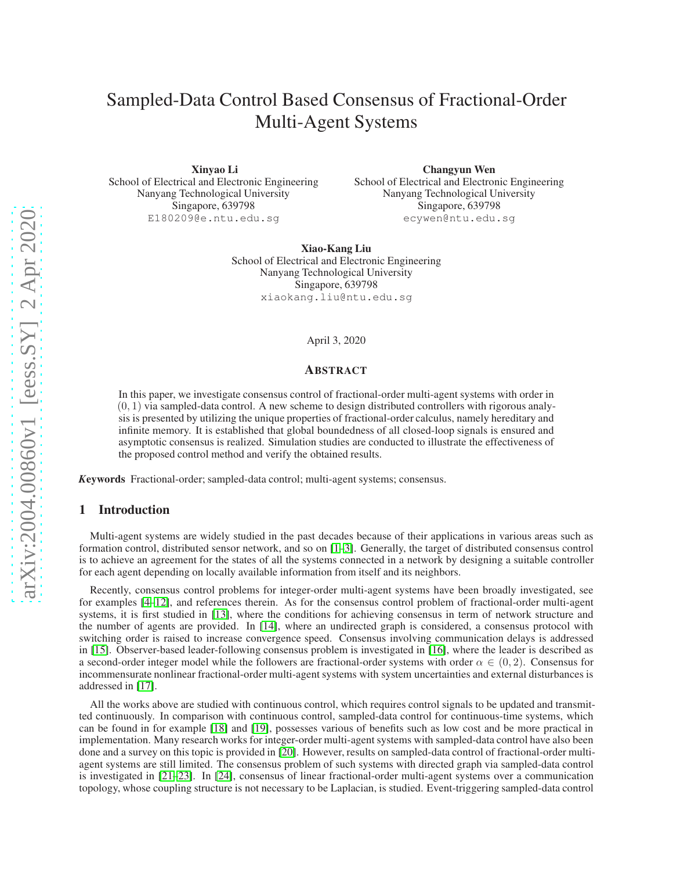# Sampled-Data Control Based Consensus of Fractional-Order Multi-Agent Systems

Xinyao Li School of Electrical and Electronic Engineering Nanyang Technological University Singapore, 639798 E180209@e.ntu.edu.sg

Changyun Wen School of Electrical and Electronic Engineering Nanyang Technological University Singapore, 639798 ecywen@ntu.edu.sg

Xiao-Kang Liu School of Electrical and Electronic Engineering Nanyang Technological University Singapore, 639798 xiaokang.liu@ntu.edu.sg

April 3, 2020

#### ABSTRACT

In this paper, we investigate consensus control of fractional-order multi-agent systems with order in  $(0, 1)$  via sampled-data control. A new scheme to design distributed controllers with rigorous analysis is presented by utilizing the unique properties of fractional-order calculus, namely hereditary and infinite memory. It is established that global boundedness of all closed-loop signals is ensured and asymptotic consensus is realized. Simulation studies are conducted to illustrate the effectiveness of the proposed control method and verify the obtained results.

*K*eywords Fractional-order; sampled-data control; multi-agent systems; consensus.

## 1 Introduction

Multi-agent systems are widely studied in the past decades because of their applications in various areas such as formation control, distributed sensor network, and so on [\[1–](#page-8-0)[3\]](#page-8-1). Generally, the target of distributed consensus control is to achieve an agreement for the states of all the systems connected in a network by designing a suitable controller for each agent depending on locally available information from itself and its neighbors.

Recently, consensus control problems for integer-order multi-agent systems have been broadly investigated, see for examples [\[4](#page-8-2)[–12\]](#page-8-3), and references therein. As for the consensus control problem of fractional-order multi-agent systems, it is first studied in [\[13\]](#page-8-4), where the conditions for achieving consensus in term of network structure and the number of agents are provided. In [\[14\]](#page-8-5), where an undirected graph is considered, a consensus protocol with switching order is raised to increase convergence speed. Consensus involving communication delays is addressed in [\[15\]](#page-8-6). Observer-based leader-following consensus problem is investigated in [\[16\]](#page-8-7), where the leader is described as a second-order integer model while the followers are fractional-order systems with order  $\alpha \in (0, 2)$ . Consensus for incommensurate nonlinear fractional-order multi-agent systems with system uncertainties and external disturbances is addressed in [\[17\]](#page-8-8).

All the works above are studied with continuous control, which requires control signals to be updated and transmitted continuously. In comparison with continuous control, sampled-data control for continuous-time systems, which can be found in for example [\[18\]](#page-8-9) and [\[19\]](#page-9-0), possesses various of benefits such as low cost and be more practical in implementation. Many research works for integer-order multi-agent systems with sampled-data control have also been done and a survey on this topic is provided in [\[20\]](#page-9-1). However, results on sampled-data control of fractional-order multiagent systems are still limited. The consensus problem of such systems with directed graph via sampled-data control is investigated in [\[21](#page-9-2)[–23\]](#page-9-3). In [\[24\]](#page-9-4), consensus of linear fractional-order multi-agent systems over a communication topology, whose coupling structure is not necessary to be Laplacian, is studied. Event-triggering sampled-data control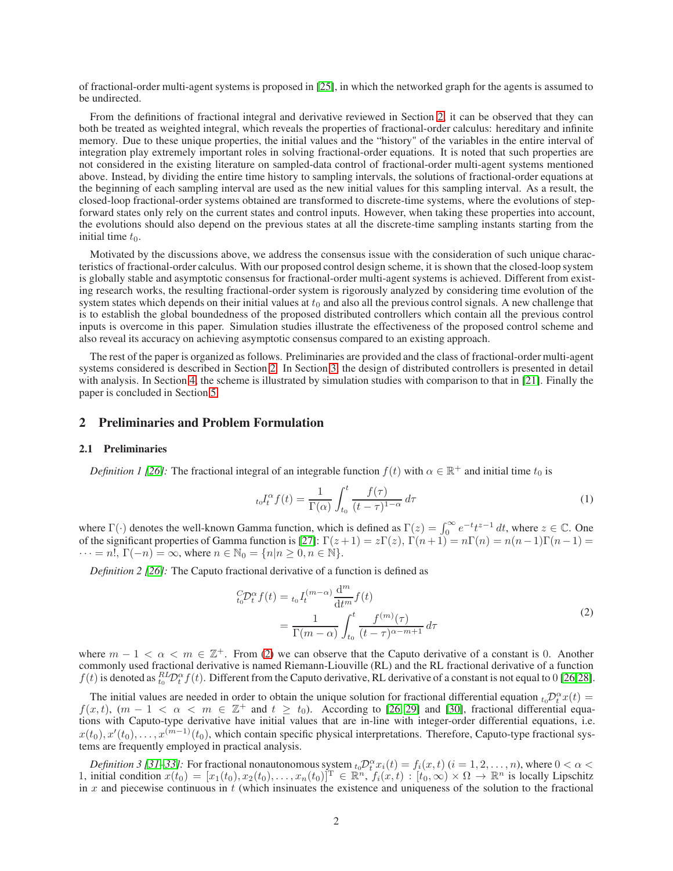of fractional-order multi-agent systems is proposed in [\[25\]](#page-9-5), in which the networked graph for the agents is assumed to be undirected.

From the definitions of fractional integral and derivative reviewed in Section [2,](#page-1-0) it can be observed that they can both be treated as weighted integral, which reveals the properties of fractional-order calculus: hereditary and infinite memory. Due to these unique properties, the initial values and the "history" of the variables in the entire interval of integration play extremely important roles in solving fractional-order equations. It is noted that such properties are not considered in the existing literature on sampled-data control of fractional-order multi-agent systems mentioned above. Instead, by dividing the entire time history to sampling intervals, the solutions of fractional-order equations at the beginning of each sampling interval are used as the new initial values for this sampling interval. As a result, the closed-loop fractional-order systems obtained are transformed to discrete-time systems, where the evolutions of stepforward states only rely on the current states and control inputs. However, when taking these properties into account, the evolutions should also depend on the previous states at all the discrete-time sampling instants starting from the initial time  $t_0$ .

Motivated by the discussions above, we address the consensus issue with the consideration of such unique characteristics of fractional-order calculus. With our proposed control design scheme, it is shown that the closed-loop system is globally stable and asymptotic consensus for fractional-order multi-agent systems is achieved. Different from existing research works, the resulting fractional-order system is rigorously analyzed by considering time evolution of the system states which depends on their initial values at  $t_0$  and also all the previous control signals. A new challenge that is to establish the global boundedness of the proposed distributed controllers which contain all the previous control inputs is overcome in this paper. Simulation studies illustrate the effectiveness of the proposed control scheme and also reveal its accuracy on achieving asymptotic consensus compared to an existing approach.

The rest of the paper is organized as follows. Preliminaries are provided and the class of fractional-order multi-agent systems considered is described in Section [2.](#page-1-0) In Section [3,](#page-3-0) the design of distributed controllers is presented in detail with analysis. In Section [4,](#page-5-0) the scheme is illustrated by simulation studies with comparison to that in [\[21\]](#page-9-2). Finally the paper is concluded in Section [5.](#page-8-10)

# <span id="page-1-0"></span>2 Preliminaries and Problem Formulation

#### 2.1 Preliminaries

*Definition 1 [\[26\]](#page-9-6):* The fractional integral of an integrable function  $f(t)$  with  $\alpha \in \mathbb{R}^+$  and initial time  $t_0$  is

<span id="page-1-1"></span>
$$
t_0 I_t^{\alpha} f(t) = \frac{1}{\Gamma(\alpha)} \int_{t_0}^t \frac{f(\tau)}{(t - \tau)^{1 - \alpha}} d\tau
$$
 (1)

where  $\Gamma(\cdot)$  denotes the well-known Gamma function, which is defined as  $\Gamma(z) = \int_0^\infty e^{-t} t^{z-1} dt$ , where  $z \in \mathbb{C}$ . One of the significant properties of Gamma function is [\[27\]](#page-9-7):  $\Gamma(z+1) = z\Gamma(z)$ ,  $\Gamma(n+1) = n\Gamma(n) = n(n-1)\Gamma(n-1) =$  $\cdots = n!$ ,  $\Gamma(-n) = \infty$ , where  $n \in \mathbb{N}_0 = \{n | n \geq 0, n \in \mathbb{N}\}.$ 

*Definition 2 [\[26\]](#page-9-6):* The Caputo fractional derivative of a function is defined as

$$
{}_{t_0}^{C} \mathcal{D}_t^{\alpha} f(t) = {}_{t_0} I_t^{(m-\alpha)} \frac{\mathrm{d}^m}{\mathrm{d}t^m} f(t)
$$
  
= 
$$
\frac{1}{\Gamma(m-\alpha)} \int_{t_0}^t \frac{f^{(m)}(\tau)}{(t-\tau)^{\alpha-m+1}} d\tau
$$
 (2)

where  $m - 1 < \alpha < m \in \mathbb{Z}^+$ . From [\(2\)](#page-1-1) we can observe that the Caputo derivative of a constant is 0. Another commonly used fractional derivative is named Riemann-Liouville (RL) and the RL fractional derivative of a function  $f(t)$  is denoted as  ${}_{t_0}^{RL}D_t^{\alpha} f(t)$ . Different from the Caputo derivative, RL derivative of a constant is not equal to 0 [\[26,](#page-9-6)[28\]](#page-9-8).

The initial values are needed in order to obtain the unique solution for fractional differential equation  ${}_{t_0}\mathcal{D}_t^{\alpha}x(t)$  $f(x, t)$ ,  $(m - 1 < \alpha < m \in \mathbb{Z}^+$  and  $t \ge t_0$ ). According to [\[26,](#page-9-6) [29\]](#page-9-9) and [\[30\]](#page-9-10), fractional differential equations with Caputo-type derivative have initial values that are in-line with integer-order differential equations, i.e.  $x(t_0), x'(t_0), \ldots, x^{(m-1)}(t_0)$ , which contain specific physical interpretations. Therefore, Caputo-type fractional systems are frequently employed in practical analysis.

*Definition 3 [\[31](#page-9-11)[–33\]](#page-9-12)*: For fractional nonautonomous system  $t_0 \mathcal{D}_t^{\alpha} x_i(t) = f_i(x,t)$  ( $i = 1, 2, ..., n$ ), where  $0 < \alpha <$ 1, initial condition  $x(t_0) = [x_1(t_0), x_2(t_0), \dots, x_n(t_0)]^T \in \mathbb{R}^n$ ,  $f_i(x, t) : [t_0, \infty) \times \Omega \to \mathbb{R}^n$  is locally Lipschitz in x and piecewise continuous in  $t$  (which insinuates the existence and uniqueness of the solution to the fractional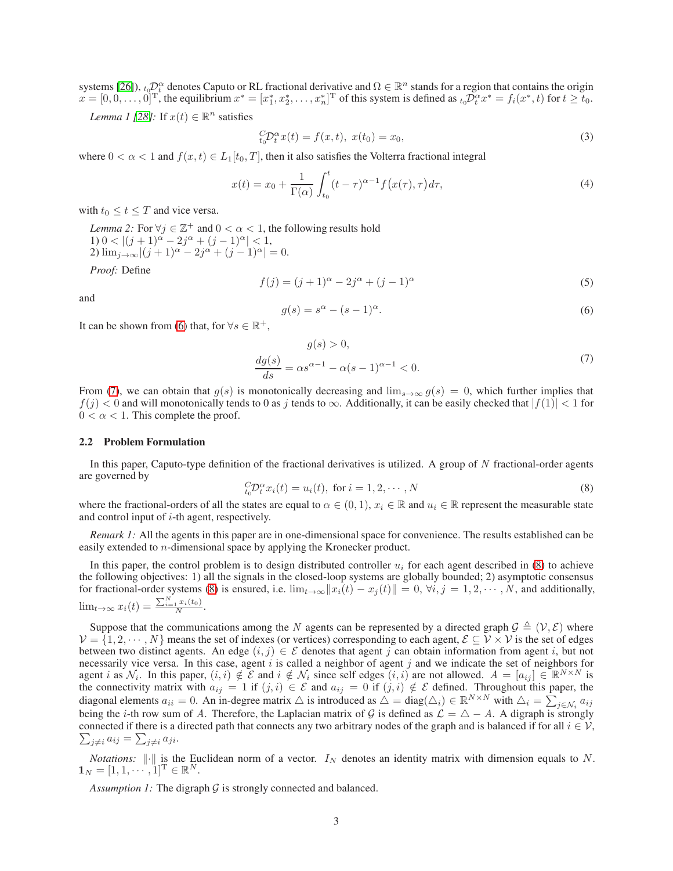systems [\[26\]](#page-9-6)),  $t_0D_\alpha^\alpha$  denotes Caputo or RL fractional derivative and  $\Omega \in \mathbb{R}^n$  stands for a region that contains the origin  $x = [0, 0, \dots, 0]^{\text{T}}$ , the equilibrium  $x^* = [x_1^*, x_2^*, \dots, x_n^*]^{\text{T}}$  of this system is defined as  ${}_{t_0}D_t^{\alpha}x^* = f_i(x^*, t)$  for  $t \ge t_0$ .

*Lemma 1 [\[28\]](#page-9-8)*: If  $x(t) \in \mathbb{R}^n$  satisfies

$$
{}_{t_0}^C \mathcal{D}_t^{\alpha} x(t) = f(x, t), \ x(t_0) = x_0,
$$
\n(3)

where  $0 < \alpha < 1$  and  $f(x, t) \in L_1[t_0, T]$ , then it also satisfies the Volterra fractional integral

$$
x(t) = x_0 + \frac{1}{\Gamma(\alpha)} \int_{t_0}^t (t - \tau)^{\alpha - 1} f\big(x(\tau), \tau\big) d\tau,
$$
\n
$$
\tag{4}
$$

with  $t_0 \le t \le T$  and vice versa.

*Lemma 2:* For  $\forall j \in \mathbb{Z}^+$  and  $0 < \alpha < 1$ , the following results hold 1)  $0 < |(j + 1)^{\alpha} - 2j^{\alpha} + (j - 1)^{\alpha}| < 1$ , 2)  $\lim_{j \to \infty} |(j+1)^{\alpha} - 2j^{\alpha} + (j-1)^{\alpha}| = 0.$ 

<span id="page-2-3"></span>*Proof:* Define

$$
f(j) = (j+1)^{\alpha} - 2j^{\alpha} + (j-1)^{\alpha}
$$
 (5)

<span id="page-2-0"></span>and

<span id="page-2-1"></span>
$$
g(s) = s^{\alpha} - (s - 1)^{\alpha}.
$$
\n<sup>(6)</sup>

It can be shown from [\(6\)](#page-2-0) that, for  $\forall s \in \mathbb{R}^+$ ,

$$
g(s) > 0,
$$
  
\n
$$
\frac{dg(s)}{ds} = \alpha s^{\alpha - 1} - \alpha (s - 1)^{\alpha - 1} < 0.
$$
\n(7)

From [\(7\)](#page-2-1), we can obtain that  $g(s)$  is monotonically decreasing and  $\lim_{s\to\infty} g(s) = 0$ , which further implies that  $f(j) < 0$  and will monotonically tends to 0 as j tends to  $\infty$ . Additionally, it can be easily checked that  $|f(1)| < 1$  for  $0 < \alpha < 1$ . This complete the proof.

## 2.2 Problem Formulation

<span id="page-2-2"></span>In this paper, Caputo-type definition of the fractional derivatives is utilized. A group of  $N$  fractional-order agents are governed by

$$
{}_{t_0}^{C} \mathcal{D}_t^{\alpha} x_i(t) = u_i(t), \text{ for } i = 1, 2, \cdots, N
$$
 (8)

where the fractional-orders of all the states are equal to  $\alpha \in (0, 1)$ ,  $x_i \in \mathbb{R}$  and  $u_i \in \mathbb{R}$  represent the measurable state and control input of  $i$ -th agent, respectively.

*Remark 1:* All the agents in this paper are in one-dimensional space for convenience. The results established can be easily extended to n-dimensional space by applying the Kronecker product.

In this paper, the control problem is to design distributed controller  $u_i$  for each agent described in [\(8\)](#page-2-2) to achieve the following objectives: 1) all the signals in the closed-loop systems are globally bounded; 2) asymptotic consensus for fractional-order systems [\(8\)](#page-2-2) is ensured, i.e.  $\lim_{t\to\infty} ||x_i(t) - x_j(t)|| = 0$ ,  $\forall i, j = 1, 2, \cdots, N$ , and additionally,  $\lim_{t\to\infty} x_i(t) = \frac{\sum_{i=1}^N x_i(t_0)}{N}.$ 

Suppose that the communications among the N agents can be represented by a directed graph  $\mathcal{G} \triangleq (\mathcal{V}, \mathcal{E})$  where  $V = \{1, 2, \dots, N\}$  means the set of indexes (or vertices) corresponding to each agent,  $\mathcal{E} \subseteq V \times V$  is the set of edges between two distinct agents. An edge  $(i, j) \in \mathcal{E}$  denotes that agent j can obtain information from agent i, but not necessarily vice versa. In this case, agent  $i$  is called a neighbor of agent  $j$  and we indicate the set of neighbors for agent i as  $\mathcal{N}_i$ . In this paper,  $(i, i) \notin \mathcal{E}$  and  $i \notin \mathcal{N}_i$  since self edges  $(i, i)$  are not allowed.  $A = [a_{ij}] \in \mathbb{R}^{N \times N}$  is the connectivity matrix with  $a_{ij} = 1$  if  $(j, i) \in \mathcal{E}$  and  $a_{ij} = 0$  if  $(j, i) \notin \mathcal{E}$  defined. Throughout this paper, the diagonal elements  $a_{ii} = 0$ . An in-degree matrix  $\triangle$  is introduced as  $\triangle = diag(\triangle_i) \in \mathbb{R}^{N \times N}$  with  $\triangle_i = \sum_{j \in \mathcal{N}_i} a_{ij}$ being the *i*-th row sum of A. Therefore, the Laplacian matrix of G is defined as  $\mathcal{L} = \Delta - A$ . A digraph is strongly connected if there is a directed path that connects any two arbitrary nodes of the graph and is balanced if for all  $i \in V$ ,  $\sum_{j\neq i} a_{ij} = \sum_{j\neq i} a_{ji}.$ 

*Notations:*  $\|\cdot\|$  is the Euclidean norm of a vector.  $I_N$  denotes an identity matrix with dimension equals to N.  $\mathbf{1}_N = [1, 1, \cdots, 1]^{\mathrm{T}} \in \mathbb{R}^N.$ 

*Assumption 1:* The digraph  $G$  is strongly connected and balanced.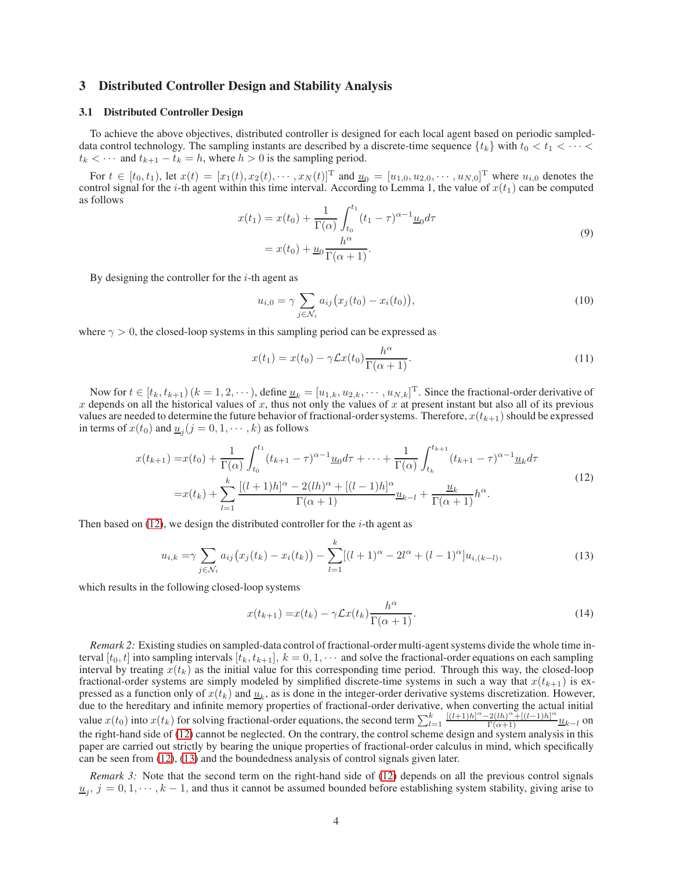## <span id="page-3-0"></span>3 Distributed Controller Design and Stability Analysis

#### 3.1 Distributed Controller Design

To achieve the above objectives, distributed controller is designed for each local agent based on periodic sampleddata control technology. The sampling instants are described by a discrete-time sequence  $\{t_k\}$  with  $t_0 < t_1 < \cdots <$  $t_k < \cdots$  and  $t_{k+1} - t_k = h$ , where  $h > 0$  is the sampling period.

For  $t \in [t_0, t_1)$ , let  $x(t) = [x_1(t), x_2(t), \dots, x_N(t)]^T$  and  $\underline{u}_0 = [u_{1,0}, u_{2,0}, \dots, u_{N,0}]^T$  where  $u_{i,0}$  denotes the control signal for the *i*-th agent within this time interval. According to Lemma 1, the value of  $x(t_1)$  can be computed as follows

$$
x(t_1) = x(t_0) + \frac{1}{\Gamma(\alpha)} \int_{t_0}^{t_1} (t_1 - \tau)^{\alpha - 1} \underline{u}_0 d\tau
$$
  
=  $x(t_0) + \underline{u}_0 \frac{h^{\alpha}}{\Gamma(\alpha + 1)}$ . (9)

By designing the controller for the  $i$ -th agent as

<span id="page-3-5"></span><span id="page-3-3"></span>
$$
u_{i,0} = \gamma \sum_{j \in \mathcal{N}_i} a_{ij} (x_j(t_0) - x_i(t_0)),
$$
\n(10)

where  $\gamma > 0$ , the closed-loop systems in this sampling period can be expressed as

<span id="page-3-1"></span>
$$
x(t_1) = x(t_0) - \gamma \mathcal{L}x(t_0) \frac{h^{\alpha}}{\Gamma(\alpha + 1)}.
$$
\n(11)

Now for  $t \in [t_k, t_{k+1})$   $(k = 1, 2, \dots)$ , define  $\underline{u}_k = [u_{1,k}, u_{2,k}, \dots, u_{N,k}]^{\text{T}}$ . Since the fractional-order derivative of x depends on all the historical values of x, thus not only the values of x at present instant but also all of its previous values are needed to determine the future behavior of fractional-order systems. Therefore,  $x(t_{k+1})$  should be expressed in terms of  $x(t_0)$  and  $\underline{u}_j$   $(j = 0, 1, \dots, k)$  as follows

$$
x(t_{k+1}) = x(t_0) + \frac{1}{\Gamma(\alpha)} \int_{t_0}^{t_1} (t_{k+1} - \tau)^{\alpha - 1} \underline{u}_0 d\tau + \dots + \frac{1}{\Gamma(\alpha)} \int_{t_k}^{t_{k+1}} (t_{k+1} - \tau)^{\alpha - 1} \underline{u}_k d\tau
$$
  

$$
= x(t_k) + \sum_{l=1}^k \frac{[(l+1)h]^\alpha - 2(lh)^\alpha + [(l-1)h]^\alpha}{\Gamma(\alpha + 1)} \underline{u}_{k-l} + \frac{\underline{u}_k}{\Gamma(\alpha + 1)} h^\alpha.
$$
 (12)

Then based on  $(12)$ , we design the distributed controller for the *i*-th agent as

$$
u_{i,k} = \gamma \sum_{j \in \mathcal{N}_i} a_{ij} (x_j(t_k) - x_i(t_k)) - \sum_{l=1}^k [(l+1)^\alpha - 2l^\alpha + (l-1)^\alpha] u_{i,(k-l)},
$$
\n(13)

which results in the following closed-loop systems

<span id="page-3-4"></span><span id="page-3-2"></span>
$$
x(t_{k+1}) = x(t_k) - \gamma \mathcal{L}x(t_k) \frac{h^{\alpha}}{\Gamma(\alpha+1)}.
$$
\n(14)

*Remark 2:* Existing studies on sampled-data control of fractional-order multi-agent systems divide the whole time interval  $[t_0, t]$  into sampling intervals  $[t_k, t_{k+1}], k = 0, 1, \cdots$  and solve the fractional-order equations on each sampling interval by treating  $x(t_k)$  as the initial value for this corresponding time period. Through this way, the closed-loop fractional-order systems are simply modeled by simplified discrete-time systems in such a way that  $x(t_{k+1})$  is expressed as a function only of  $x(t_k)$  and  $\underline{u}_k$ , as is done in the integer-order derivative systems discretization. However, due to the hereditary and infinite memory properties of fractional-order derivative, when converting the actual initial value  $x(t_0)$  into  $x(t_k)$  for solving fractional-order equations, the second term  $\sum_{l=1}^k \frac{[(l+1)h]^\alpha - 2(lh)^\alpha + [(l-1)h]^\alpha}{\Gamma(\alpha+1)} u_{k-l}$  on the right-hand side of [\(12\)](#page-3-1) cannot be neglected. On the contrary, the control scheme design and system analysis in this paper are carried out strictly by bearing the unique properties of fractional-order calculus in mind, which specifically can be seen from [\(12\)](#page-3-1), [\(13\)](#page-3-2) and the boundedness analysis of control signals given later.

*Remark 3:* Note that the second term on the right-hand side of [\(12\)](#page-3-1) depends on all the previous control signals  $u_j$ ,  $j = 0, 1, \dots, k-1$ , and thus it cannot be assumed bounded before establishing system stability, giving arise to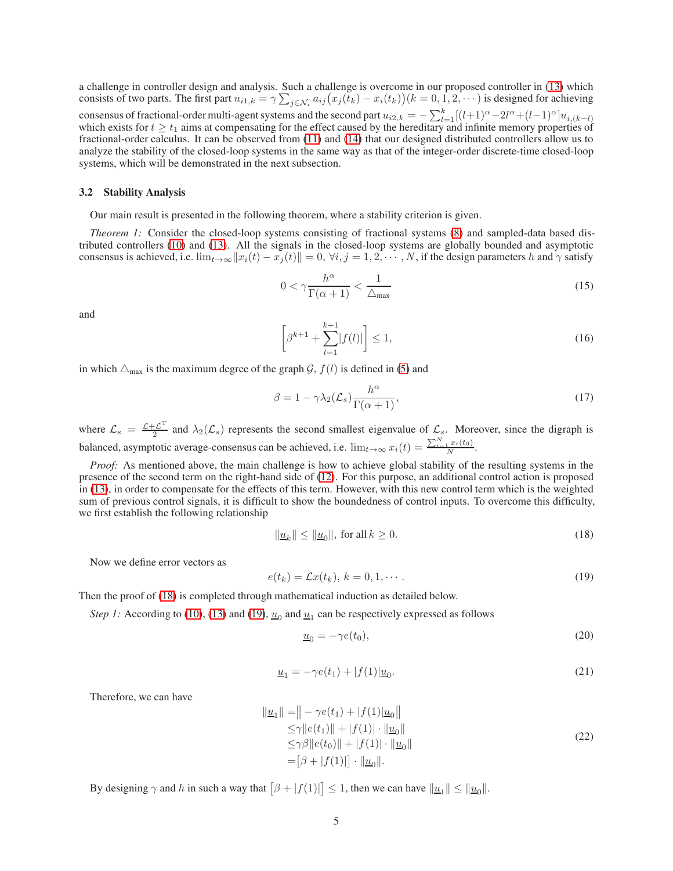a challenge in controller design and analysis. Such a challenge is overcome in our proposed controller in [\(13\)](#page-3-2) which consists of two parts. The first part  $u_{i1,k} = \gamma \sum_{j \in \mathcal{N}_i} a_{ij} (x_j(t_k) - x_i(t_k)) (k = 0, 1, 2, \cdots)$  is designed for achieving consensus of fractional-order multi-agent systems and the second part  $u_{i2,k} = -\sum_{l=1}^{k} [(l+1)^{\alpha} - 2l^{\alpha} + (l-1)^{\alpha}]u_{i,(k-l)}$ which exists for  $t \geq t_1$  aims at compensating for the effect caused by the hereditary and infinite memory properties of fractional-order calculus. It can be observed from [\(11\)](#page-3-3) and [\(14\)](#page-3-4) that our designed distributed controllers allow us to analyze the stability of the closed-loop systems in the same way as that of the integer-order discrete-time closed-loop systems, which will be demonstrated in the next subsection.

#### 3.2 Stability Analysis

Our main result is presented in the following theorem, where a stability criterion is given.

*Theorem 1:* Consider the closed-loop systems consisting of fractional systems [\(8\)](#page-2-2) and sampled-data based distributed controllers [\(10\)](#page-3-5) and [\(13\)](#page-3-2). All the signals in the closed-loop systems are globally bounded and asymptotic consensus is achieved, i.e.  $\lim_{t\to\infty} ||x_i(t) - x_j(t)|| = 0$ ,  $\forall i, j = 1, 2, \dots, N$ , if the design parameters h and  $\gamma$  satisfy

<span id="page-4-3"></span>
$$
0 < \gamma \frac{h^{\alpha}}{\Gamma(\alpha + 1)} < \frac{1}{\Delta_{\text{max}}} \tag{15}
$$

<span id="page-4-2"></span>and

<span id="page-4-4"></span>
$$
\left[\beta^{k+1} + \sum_{l=1}^{k+1} |f(l)|\right] \le 1,\tag{16}
$$

in which  $\Delta_{\text{max}}$  is the maximum degree of the graph G,  $f(l)$  is defined in [\(5\)](#page-2-3) and

$$
\beta = 1 - \gamma \lambda_2(\mathcal{L}_s) \frac{h^{\alpha}}{\Gamma(\alpha + 1)},\tag{17}
$$

where  $\mathcal{L}_s = \frac{\mathcal{L} + \mathcal{L}^T}{2}$  $\frac{2\mathcal{L}^2}{2}$  and  $\lambda_2(\mathcal{L}_s)$  represents the second smallest eigenvalue of  $\mathcal{L}_s$ . Moreover, since the digraph is balanced, asymptotic average-consensus can be achieved, i.e.  $\lim_{t\to\infty} x_i(t) = \frac{\sum_{i=1}^{N} x_i(t_0)}{N}$ .

*Proof:* As mentioned above, the main challenge is how to achieve global stability of the resulting systems in the presence of the second term on the right-hand side of [\(12\)](#page-3-1). For this purpose, an additional control action is proposed in [\(13\)](#page-3-2), in order to compensate for the effects of this term. However, with this new control term which is the weighted sum of previous control signals, it is difficult to show the boundedness of control inputs. To overcome this difficulty, we first establish the following relationship

<span id="page-4-0"></span>
$$
\|\underline{u}_k\| \le \|\underline{u}_0\|, \text{ for all } k \ge 0. \tag{18}
$$

Now we define error vectors as

<span id="page-4-1"></span>
$$
e(t_k) = \mathcal{L}x(t_k), \, k = 0, 1, \cdots. \tag{19}
$$

Then the proof of [\(18\)](#page-4-0) is completed through mathematical induction as detailed below.

*Step 1:* According to [\(10\)](#page-3-5), [\(13\)](#page-3-2) and [\(19\)](#page-4-1),  $\underline{u}_0$  and  $\underline{u}_1$  can be respectively expressed as follows

$$
\underline{u}_0 = -\gamma e(t_0),\tag{20}
$$

$$
\underline{u}_1 = -\gamma e(t_1) + |f(1)| \underline{u}_0. \tag{21}
$$

Therefore, we can have

$$
\|\underline{u}_1\| = \|- \gamma e(t_1) + |f(1)|\underline{u}_0\|
$$
  
\n
$$
\leq \gamma \|e(t_1)\| + |f(1)| \cdot \|\underline{u}_0\|
$$
  
\n
$$
\leq \gamma \beta \|e(t_0)\| + |f(1)| \cdot \|\underline{u}_0\|
$$
  
\n
$$
= [\beta + |f(1)|] \cdot \|\underline{u}_0\|.
$$
\n(22)

By designing  $\gamma$  and h in such a way that  $[\beta + |f(1)|] \leq 1$ , then we can have  $||\underline{u}_1|| \leq ||\underline{u}_0||$ .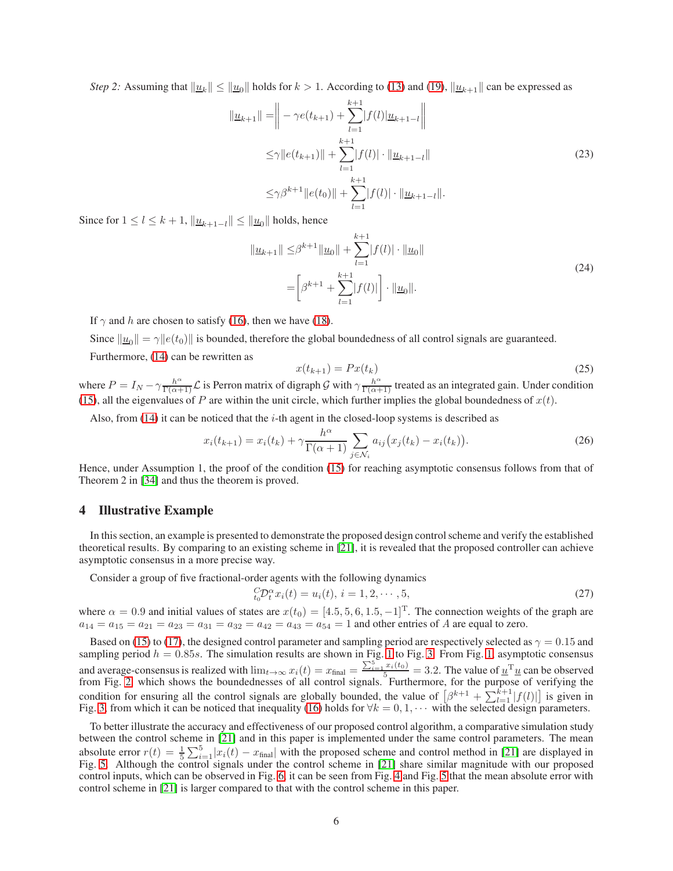*Step 2:* Assuming that  $\|\underline{u}_k\| \le \|\underline{u}_0\|$  holds for  $k > 1$ . According to [\(13\)](#page-3-2) and [\(19\)](#page-4-1),  $\|\underline{u}_{k+1}\|$  can be expressed as

$$
\| \underline{u}_{k+1} \| = \Big\| - \gamma e(t_{k+1}) + \sum_{l=1}^{k+1} |f(l)| \underline{u}_{k+1-l} \Big\|
$$
  
\n
$$
\leq \gamma \| e(t_{k+1}) \| + \sum_{l=1}^{k+1} |f(l)| \cdot \| \underline{u}_{k+1-l} \|
$$
  
\n
$$
\leq \gamma \beta^{k+1} \| e(t_0) \| + \sum_{l=1}^{k+1} |f(l)| \cdot \| \underline{u}_{k+1-l} \|.
$$
\n(23)

Since for  $1 \leq l \leq k+1$ ,  $\|\underline{u}_{k+1-l}\| \leq \|\underline{u}_0\|$  holds, hence

$$
\|\underline{u}_{k+1}\| \leq \beta^{k+1} \|\underline{u}_0\| + \sum_{l=1}^{k+1} |f(l)| \cdot \|\underline{u}_0\|
$$
  
= 
$$
\left[\beta^{k+1} + \sum_{l=1}^{k+1} |f(l)|\right] \cdot \|\underline{u}_0\|.
$$
 (24)

If  $\gamma$  and h are chosen to satisfy [\(16\)](#page-4-2), then we have [\(18\)](#page-4-0).

Since  $\|\underline{u}_0\| = \gamma \|e(t_0)\|$  is bounded, therefore the global boundedness of all control signals are guaranteed. Furthermore, [\(14\)](#page-3-4) can be rewritten as

$$
x(t_{k+1}) = Px(t_k) \tag{25}
$$

where  $P = I_N - \gamma \frac{h^{\alpha}}{\Gamma(\alpha+1)} \mathcal{L}$  is Perron matrix of digraph G with  $\gamma \frac{h^{\alpha}}{\Gamma(\alpha+1)}$  treated as an integrated gain. Under condition [\(15\)](#page-4-3), all the eigenvalues of P are within the unit circle, which further implies the global boundedness of  $x(t)$ .

Also, from  $(14)$  it can be noticed that the *i*-th agent in the closed-loop systems is described as

$$
x_i(t_{k+1}) = x_i(t_k) + \gamma \frac{h^{\alpha}}{\Gamma(\alpha+1)} \sum_{j \in \mathcal{N}_i} a_{ij} (x_j(t_k) - x_i(t_k)).
$$
 (26)

Hence, under Assumption 1, the proof of the condition [\(15\)](#page-4-3) for reaching asymptotic consensus follows from that of Theorem 2 in [\[34\]](#page-9-13) and thus the theorem is proved.

## <span id="page-5-0"></span>4 Illustrative Example

In this section, an example is presented to demonstrate the proposed design control scheme and verify the established theoretical results. By comparing to an existing scheme in [\[21\]](#page-9-2), it is revealed that the proposed controller can achieve asymptotic consensus in a more precise way.

Consider a group of five fractional-order agents with the following dynamics

<span id="page-5-1"></span>
$$
{}_{t_0}^{C} \mathcal{D}_t^{\alpha} x_i(t) = u_i(t), \, i = 1, 2, \cdots, 5,
$$
\n<sup>(27)</sup>

where  $\alpha = 0.9$  and initial values of states are  $x(t_0) = [4.5, 5, 6, 1.5, -1]^T$ . The connection weights of the graph are  $a_{14} = a_{15} = a_{21} = a_{23} = a_{31} = a_{32} = a_{42} = a_{43} = a_{54} = 1$  and other entries of A are equal to zero.

Based on [\(15\)](#page-4-3) to [\(17\)](#page-4-4), the designed control parameter and sampling period are respectively selected as  $\gamma = 0.15$  and sampling period  $h = 0.85s$ . The simulation results are shown in Fig. [1](#page-6-0) to Fig. [3.](#page-6-1) From Fig. [1,](#page-6-0) asymptotic consensus and average-consensus is realized with  $\lim_{t\to\infty} x_i(t) = x_{\text{final}} = \frac{\sum_{i=1}^{5} x_i(t_0)}{5} = 3.2$ . The value of  $\underline{u}^T \underline{u}$  can be observed from Fig. [2,](#page-6-2) which shows the boundednesses of all control signals. Furthermore, for the purpose of verifying the condition for ensuring all the control signals are globally bounded, the value of  $\left[\beta^{k+1} + \sum_{l=1}^{k+1} |f(l)|\right]$  is given in Fig. [3,](#page-6-1) from which it can be noticed that inequality [\(16\)](#page-4-2) holds for  $\forall k = 0, 1, \cdots$  with the selected design parameters.

To better illustrate the accuracy and effectiveness of our proposed control algorithm, a comparative simulation study between the control scheme in [\[21\]](#page-9-2) and in this paper is implemented under the same control parameters. The mean absolute error  $r(t) = \frac{1}{5} \sum_{i=1}^{5} |x_i(t) - x_{\text{final}}|$  with the proposed scheme and control method in [\[21\]](#page-9-2) are displayed in Fig. [5.](#page-7-0) Although the control signals under the control scheme in [\[21\]](#page-9-2) share similar magnitude with our proposed control inputs, which can be observed in Fig. [6,](#page-7-1) it can be seen from Fig. [4](#page-7-2) and Fig. [5](#page-7-0) that the mean absolute error with control scheme in [\[21\]](#page-9-2) is larger compared to that with the control scheme in this paper.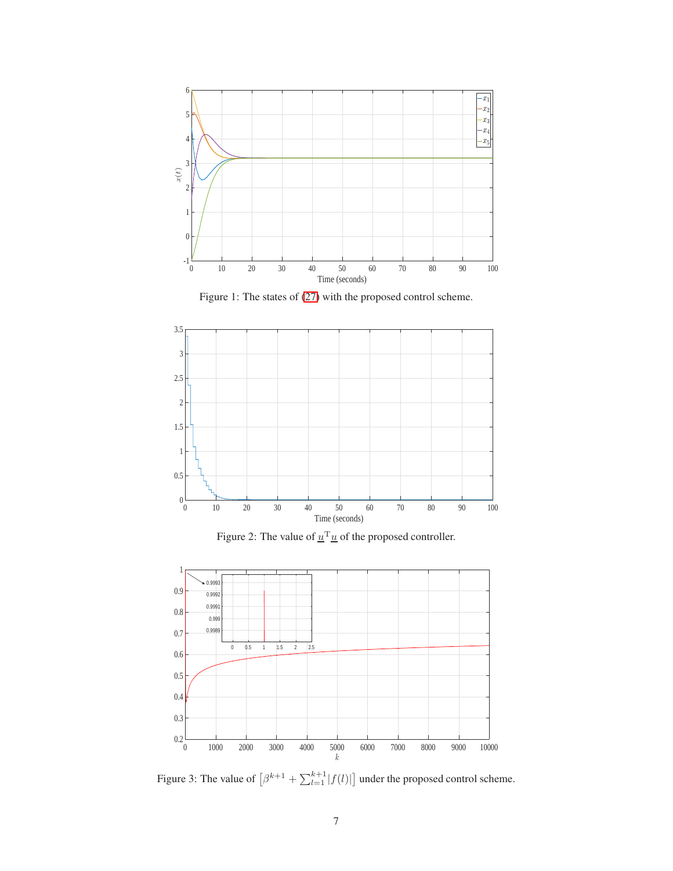<span id="page-6-0"></span>

Figure 1: The states of [\(27\)](#page-5-1) with the proposed control scheme.

<span id="page-6-2"></span>



<span id="page-6-1"></span>

Figure 3: The value of  $\left[\beta^{k+1} + \sum_{l=1}^{k+1} |f(l)|\right]$  under the proposed control scheme.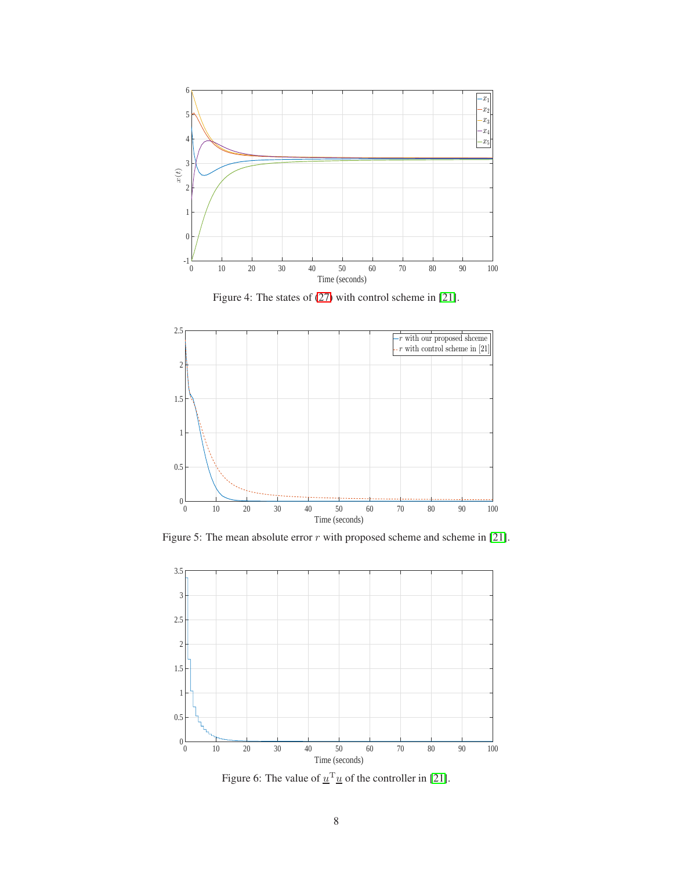<span id="page-7-2"></span>

Figure 4: The states of [\(27\)](#page-5-1) with control scheme in [\[21\]](#page-9-2).

<span id="page-7-0"></span>

<span id="page-7-1"></span>Figure 5: The mean absolute error  $r$  with proposed scheme and scheme in [\[21\]](#page-9-2).



Figure 6: The value of  $\underline{u}^T \underline{u}$  of the controller in [\[21\]](#page-9-2).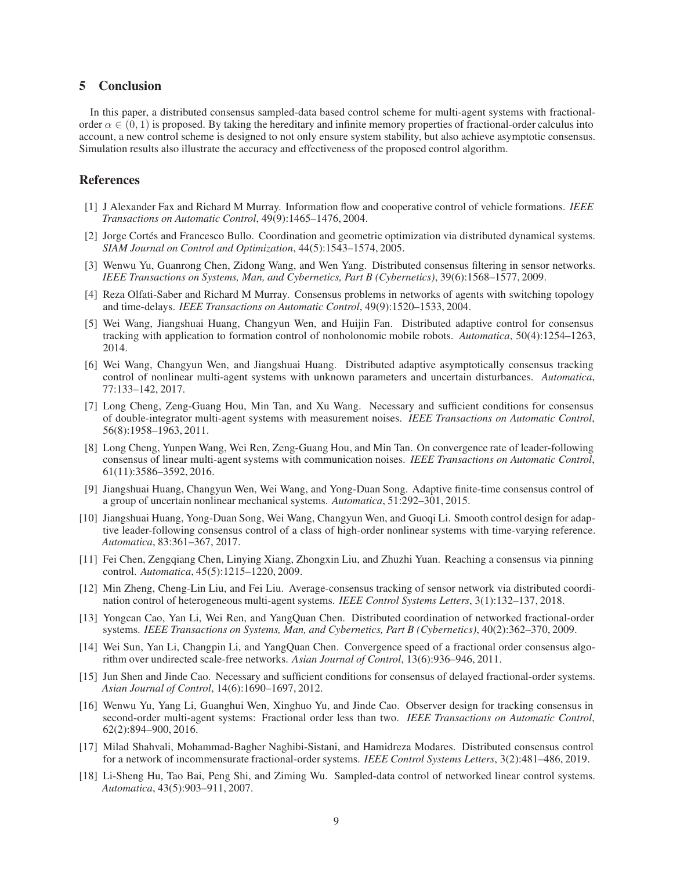# <span id="page-8-10"></span>5 Conclusion

In this paper, a distributed consensus sampled-data based control scheme for multi-agent systems with fractionalorder  $\alpha \in (0, 1)$  is proposed. By taking the hereditary and infinite memory properties of fractional-order calculus into account, a new control scheme is designed to not only ensure system stability, but also achieve asymptotic consensus. Simulation results also illustrate the accuracy and effectiveness of the proposed control algorithm.

# <span id="page-8-0"></span>References

- [1] J Alexander Fax and Richard M Murray. Information flow and cooperative control of vehicle formations. *IEEE Transactions on Automatic Control*, 49(9):1465–1476, 2004.
- [2] Jorge Cortés and Francesco Bullo. Coordination and geometric optimization via distributed dynamical systems. *SIAM Journal on Control and Optimization*, 44(5):1543–1574, 2005.
- <span id="page-8-1"></span>[3] Wenwu Yu, Guanrong Chen, Zidong Wang, and Wen Yang. Distributed consensus filtering in sensor networks. *IEEE Transactions on Systems, Man, and Cybernetics, Part B (Cybernetics)*, 39(6):1568–1577, 2009.
- <span id="page-8-2"></span>[4] Reza Olfati-Saber and Richard M Murray. Consensus problems in networks of agents with switching topology and time-delays. *IEEE Transactions on Automatic Control*, 49(9):1520–1533, 2004.
- [5] Wei Wang, Jiangshuai Huang, Changyun Wen, and Huijin Fan. Distributed adaptive control for consensus tracking with application to formation control of nonholonomic mobile robots. *Automatica*, 50(4):1254–1263, 2014.
- [6] Wei Wang, Changyun Wen, and Jiangshuai Huang. Distributed adaptive asymptotically consensus tracking control of nonlinear multi-agent systems with unknown parameters and uncertain disturbances. *Automatica*, 77:133–142, 2017.
- [7] Long Cheng, Zeng-Guang Hou, Min Tan, and Xu Wang. Necessary and sufficient conditions for consensus of double-integrator multi-agent systems with measurement noises. *IEEE Transactions on Automatic Control*, 56(8):1958–1963, 2011.
- [8] Long Cheng, Yunpen Wang, Wei Ren, Zeng-Guang Hou, and Min Tan. On convergence rate of leader-following consensus of linear multi-agent systems with communication noises. *IEEE Transactions on Automatic Control*, 61(11):3586–3592, 2016.
- [9] Jiangshuai Huang, Changyun Wen, Wei Wang, and Yong-Duan Song. Adaptive finite-time consensus control of a group of uncertain nonlinear mechanical systems. *Automatica*, 51:292–301, 2015.
- [10] Jiangshuai Huang, Yong-Duan Song, Wei Wang, Changyun Wen, and Guoqi Li. Smooth control design for adaptive leader-following consensus control of a class of high-order nonlinear systems with time-varying reference. *Automatica*, 83:361–367, 2017.
- [11] Fei Chen, Zengqiang Chen, Linying Xiang, Zhongxin Liu, and Zhuzhi Yuan. Reaching a consensus via pinning control. *Automatica*, 45(5):1215–1220, 2009.
- <span id="page-8-3"></span>[12] Min Zheng, Cheng-Lin Liu, and Fei Liu. Average-consensus tracking of sensor network via distributed coordination control of heterogeneous multi-agent systems. *IEEE Control Systems Letters*, 3(1):132–137, 2018.
- <span id="page-8-4"></span>[13] Yongcan Cao, Yan Li, Wei Ren, and YangQuan Chen. Distributed coordination of networked fractional-order systems. *IEEE Transactions on Systems, Man, and Cybernetics, Part B (Cybernetics)*, 40(2):362–370, 2009.
- <span id="page-8-5"></span>[14] Wei Sun, Yan Li, Changpin Li, and YangQuan Chen. Convergence speed of a fractional order consensus algorithm over undirected scale-free networks. *Asian Journal of Control*, 13(6):936–946, 2011.
- <span id="page-8-6"></span>[15] Jun Shen and Jinde Cao. Necessary and sufficient conditions for consensus of delayed fractional-order systems. *Asian Journal of Control*, 14(6):1690–1697, 2012.
- <span id="page-8-7"></span>[16] Wenwu Yu, Yang Li, Guanghui Wen, Xinghuo Yu, and Jinde Cao. Observer design for tracking consensus in second-order multi-agent systems: Fractional order less than two. *IEEE Transactions on Automatic Control*, 62(2):894–900, 2016.
- <span id="page-8-8"></span>[17] Milad Shahvali, Mohammad-Bagher Naghibi-Sistani, and Hamidreza Modares. Distributed consensus control for a network of incommensurate fractional-order systems. *IEEE Control Systems Letters*, 3(2):481–486, 2019.
- <span id="page-8-9"></span>[18] Li-Sheng Hu, Tao Bai, Peng Shi, and Ziming Wu. Sampled-data control of networked linear control systems. *Automatica*, 43(5):903–911, 2007.